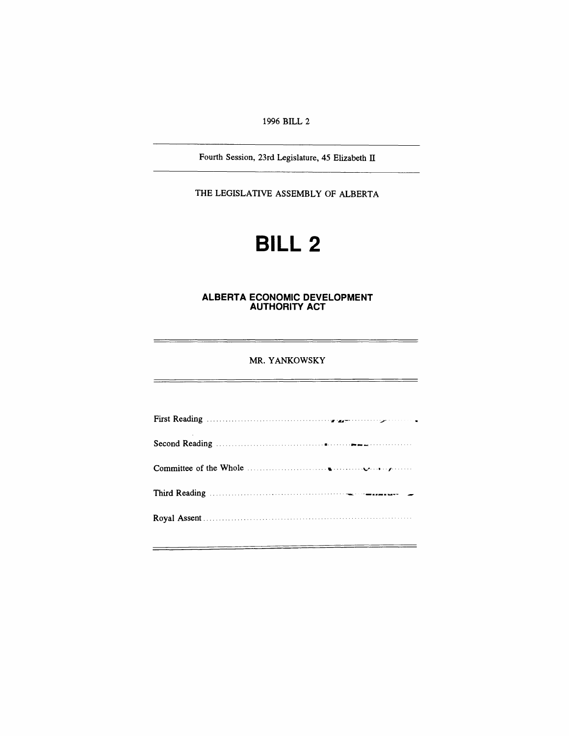*1996 BILL 2*

*Fourth Session, 23rd Legislature, 45 Elizabeth II*

*THE LEGISLATIVE ASSEMBLY OF ALBERTA*

# *BILL 2*

#### *ALBERTA ECONOMIC DEVELOPMENT AUTHORITY ACT*

### *MR. YANKOWSKY*

 $=$ 

<u> Terminal de la contenta de la contenta de la contenta de la contenta de la contenta de la contenta de la conte</u>

\_\_\_\_\_\_\_\_\_\_\_\_\_\_\_\_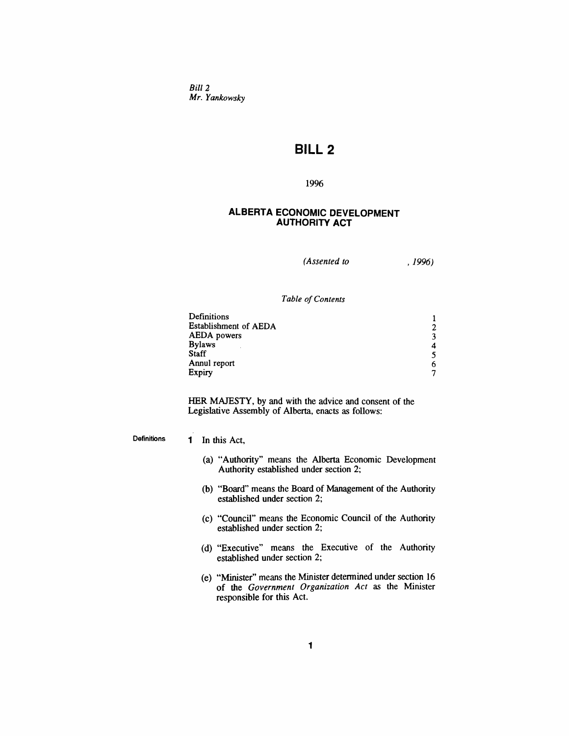*Bill 2 Mr. Yankowsky*

# *BILL 2*

## *1996*

## *ALBERTA ECONOMIC DEVELOPMENT AUTHORITY ACT*

*(Assented to , 1996)*

*Table ofContents*

| Definitions           |   |
|-----------------------|---|
| Establishment of AEDA |   |
| <b>AEDA</b> powers    |   |
| <b>Bylaws</b>         |   |
| <b>Staff</b>          |   |
| Annul report          |   |
| Expiry                | ∽ |

*HER MAJESTY, by and with the advice and consent of the Legislative Assembly of Alberta, enacts as follows:*

*Definitions 1 In this Act,*

- *(a) "Authority" means the Alberta Economic Development Authority established under section 2;*
- *(b) "Board" means the Board of Management of the Authority established under section 2;*
- *(c) "Council" means the Economic Council of the Authority established under section 2;*
- *(d) "Executive" means the Executive of the Authority established under section 2;*
- *(e) "Minister" means the Minister determined under section 16 of the Government Organization Act as the Minister responsible for this Act.*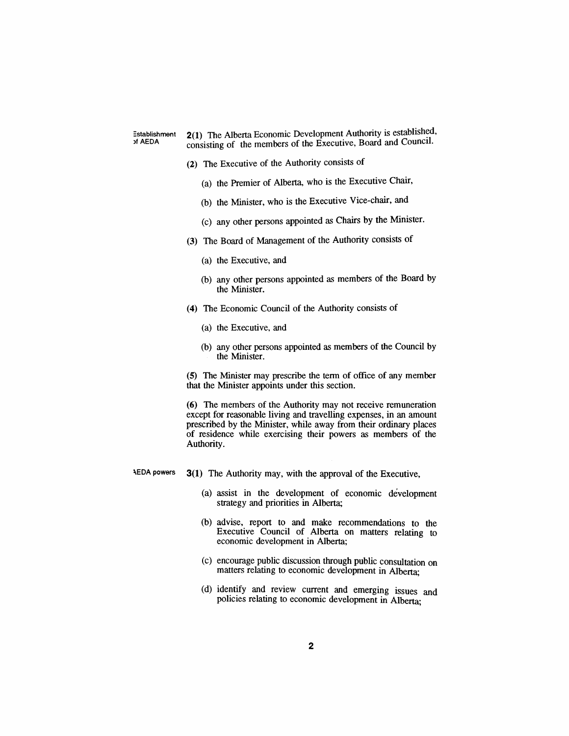*Establishment of AEDA*

*2(1) The Alberta Economic Development Authority is established, consisting of the members of the Executive, Board and Council.*

- *(2) The Executive of the Authority consists of*
	- *(a) the Premier of Alberta, who is the Executive Chair,*
	- *(b) the Minister, who is the Executive Vice-chair, and*
	- *(c) any other persons appointed as Chairs by the Minister.*
- *(3) The Board of Management of the Authority consists of*
	- *(a) the Executive, and*
	- *(b) any other persons appointed as members of the Board by the Minister.*
- *(4) The Economic Council of the Authority consists of*
	- *(a) the Executive, and*
	- *(b) any other persons appointed as members of the Council by the Minister.*

*(5) The Minister may prescribe the term of office of any member that the Minister appoints under this section.*

*(6) The members of the Authority may not receive remuneration except for reasonable living and travelling expenses, in an amount prescribed by the Minister, while away from their ordinary places of residence while exercising their powers as members of the Authority.*

- *<sup>A</sup>EDA powers 3(1) The Authority may, with the approval of the Executive,*
	- *(a) assist in the development of economic development strategy and priorities in Alberta;*
	- *(b) advise, report to and make recommendations to the Executive Council of Alberta on matters relating to economic development in Alberta;*
	- *(c) encourage public discussion through public consultation on matters relating to economic development in Alberta;*
	- *(d) identify and review current and emerging issues and policies relating to economic development in Alberta;*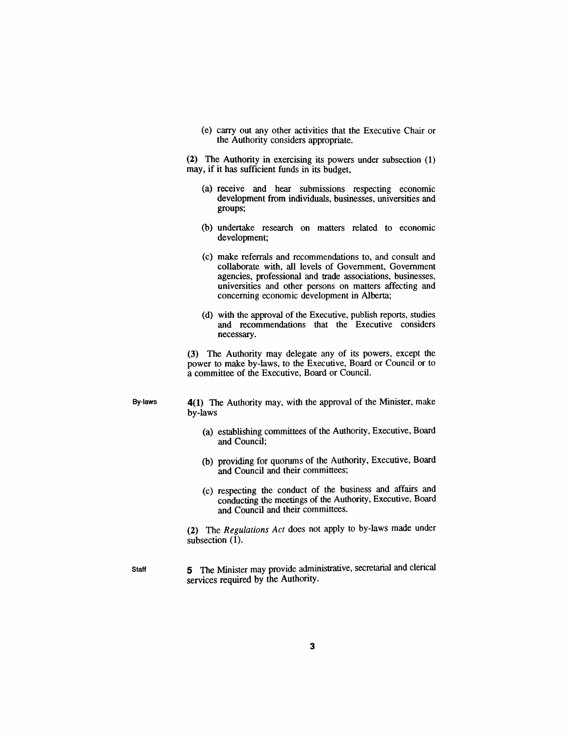*(e) carry out any other activities that the Executive Chair or the Authority considers appropriate.*

*(2) The Authority in exercising its powers under subsection (1) may, if it has sufficient funds in its budget,*

- *(a) receive and hear submissions respecting economic development from individuals, businesses, universities and groups;*
- *(b) undertake research on matters related to economic development;*
- *(c) make referrals and recommendations to, and consult and collaborate with, all levels of Government, Government agencies, professional and trade associations, businesses, universities and other persons on matters affecting and concerning economic development in Alberta;*
- *(d) with the approval of the Executive, publish reports, studies and recommendations that the Executive considers necessary.*

*(3) The Authority may delegate any of its powers, except the power to make by-laws, to the Executive, Board or Council or to a committee of the Executive, Board or Council.*

*By-laws 4(1) The Authority may, with the approval of the Minister, make by-laws*

- *(a) establishing committees of the Authority, Executive, Board and Council;*
- *(b) providing for quorums of the Authority, Executive, Board and Council and their committees;*
- *(c) respecting the conduct of the business and affairs and conducting the meetings of the Authority, Executive, Board and Council and their committees.*

*(2) The Regulations Act does not apply to by-laws made under subsection (1).*

*Staff 5 The Minister may provide administrative, secretarial and clerical services required by the Authority.*